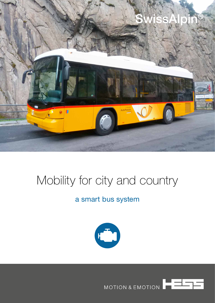

## Mobility for city and country

## a smart bus system